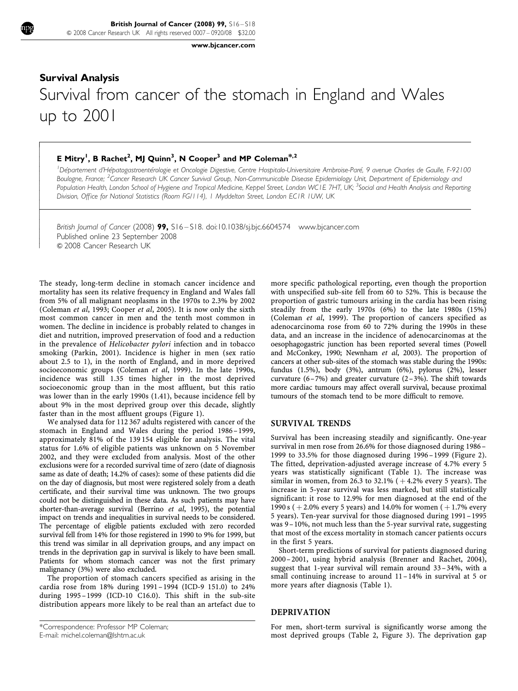[www.bjcancer.com](http://www.bjcancer.com)

# Survival Analysis Survival from cancer of the stomach in England and Wales up to 2001

## E Mitry<sup>1</sup>, B Rachet<sup>2</sup>, MJ Quinn<sup>3</sup>, N Cooper<sup>3</sup> and MP Coleman<sup>\*,2</sup>

 $\overline{1}$  $\overline{\phantom{a}}$  $\overline{\phantom{a}}$  $\overline{\phantom{a}}$  $\overline{\phantom{a}}$  $\overline{\phantom{a}}$  $\overline{\phantom{a}}$  $\overline{\phantom{a}}$  $\overline{\phantom{a}}$  $\overline{\phantom{a}}$  $\overline{\phantom{a}}$  $\overline{\phantom{a}}$  $\overline{\phantom{a}}$  $\overline{\phantom{a}}$ ł  $\overline{\phantom{a}}$  $\overline{\phantom{a}}$  $\overline{\phantom{a}}$  $\overline{\phantom{a}}$  $\overline{\phantom{a}}$  $\overline{\phantom{a}}$  $\overline{\phantom{a}}$ 

<sup>1</sup> Département d'Hépatogastroentérologie et Oncologie Digestive, Centre Hospitalo-Universitaire Ambroise-Paré, 9 avenue Charles de Gaulle, F-92100 Boulogne, France; <sup>2</sup>Cancer Research UK Cancer Survival Group, Non-Communicable Disease Epidemiology Unit, Department of Epidemiology and Population Health, London School of Hygiene and Tropical Medicine, Keppel Street, London WC1E 7HT, UK; <sup>3</sup>Social and Health Analysis and Reporting Division, Office for National Statistics (Room FG/114), 1 Myddelton Street, London EC1R 1UW, UK

British Journal of Cancer (2008) 99, S16-S18. doi[:10.1038/sj.bjc.6604574](http://dx.doi.org/10.1038/sj.bjc.6604574) [www.bjcancer.com](http://www.bjcancer.com) Published online 23 September 2008 & 2008 Cancer Research UK

The steady, long-term decline in stomach cancer incidence and mortality has seen its relative frequency in England and Wales fall from 5% of all malignant neoplasms in the 1970s to 2.3% by 2002 ([Coleman](#page-2-0) et al, 1993; [Cooper](#page-2-0) et al, 2005). It is now only the sixth most common cancer in men and the tenth most common in women. The decline in incidence is probably related to changes in diet and nutrition, improved preservation of food and a reduction in the prevalence of Helicobacter pylori infection and in tobacco smoking [\(Parkin, 2001\)](#page-2-0). Incidence is higher in men (sex ratio about 2.5 to 1), in the north of England, and in more deprived socioeconomic groups ([Coleman](#page-2-0) et al, 1999). In the late 1990s, incidence was still 1.35 times higher in the most deprived socioeconomic group than in the most affluent, but this ratio was lower than in the early 1990s (1.41), because incidence fell by about 9% in the most deprived group over this decade, slightly faster than in the most affluent groups [\(Figure 1](#page-1-0)).

We analysed data for 112 367 adults registered with cancer of the stomach in England and Wales during the period 1986–1999, approximately 81% of the 139 154 eligible for analysis. The vital status for 1.6% of eligible patients was unknown on 5 November 2002, and they were excluded from analysis. Most of the other exclusions were for a recorded survival time of zero (date of diagnosis same as date of death; 14.2% of cases): some of these patients did die on the day of diagnosis, but most were registered solely from a death certificate, and their survival time was unknown. The two groups could not be distinguished in these data. As such patients may have shorter-than-average survival [\(Berrino](#page-2-0) et al, 1995), the potential impact on trends and inequalities in survival needs to be considered. The percentage of eligible patients excluded with zero recorded survival fell from 14% for those registered in 1990 to 9% for 1999, but this trend was similar in all deprivation groups, and any impact on trends in the deprivation gap in survival is likely to have been small. Patients for whom stomach cancer was not the first primary malignancy (3%) were also excluded.

The proportion of stomach cancers specified as arising in the cardia rose from 18% during 1991–1994 (ICD-9 151.0) to 24% during 1995–1999 (ICD-10 C16.0). This shift in the sub-site distribution appears more likely to be real than an artefact due to

more specific pathological reporting, even though the proportion with unspecified sub-site fell from 60 to 52%. This is because the proportion of gastric tumours arising in the cardia has been rising steadily from the early 1970s (6%) to the late 1980s (15%) ([Coleman](#page-2-0) et al, 1999). The proportion of cancers specified as adenocarcinoma rose from 60 to 72% during the 1990s in these data, and an increase in the incidence of adenocarcinomas at the oesophagogastric junction has been reported several times [\(Powell](#page-2-0) [and McConkey, 1990](#page-2-0); [Newnham](#page-2-0) et al, 2003). The proportion of cancers at other sub-sites of the stomach was stable during the 1990s: fundus (1.5%), body (3%), antrum (6%), pylorus (2%), lesser curvature  $(6-7%)$  and greater curvature  $(2-3%)$ . The shift towards more cardiac tumours may affect overall survival, because proximal tumours of the stomach tend to be more difficult to remove.

#### SURVIVAL TRENDS

Survival has been increasing steadily and significantly. One-year survival in men rose from 26.6% for those diagnosed during 1986– 1999 to 33.5% for those diagnosed during 1996–1999 ([Figure 2\)](#page-1-0). The fitted, deprivation-adjusted average increase of 4.7% every 5 years was statistically significant ([Table 1\)](#page-1-0). The increase was similar in women, from 26.3 to 32.1%  $(+4.2\%$  every 5 years). The increase in 5-year survival was less marked, but still statistically significant: it rose to 12.9% for men diagnosed at the end of the 1990 s ( $+2.0\%$  every 5 years) and 14.0% for women ( $+1.7\%$  every 5 years). Ten-year survival for those diagnosed during 1991–1995 was 9–10%, not much less than the 5-year survival rate, suggesting that most of the excess mortality in stomach cancer patients occurs in the first 5 years.

Short-term predictions of survival for patients diagnosed during 2000– 2001, using hybrid analysis [\(Brenner and Rachet, 2004\)](#page-2-0), suggest that 1-year survival will remain around 33– 34%, with a small continuing increase to around 11– 14% in survival at 5 or more years after diagnosis [\(Table 1](#page-1-0)).

### DEPRIVATION

For men, short-term survival is significantly worse among the most deprived groups ([Table 2, Figure 3](#page-2-0)). The deprivation gap

<sup>\*</sup>Correspondence: Professor MP Coleman; E-mail: [michel.coleman@lshtm.ac.uk](mailto:michel.coleman@lshtm.ac.uk)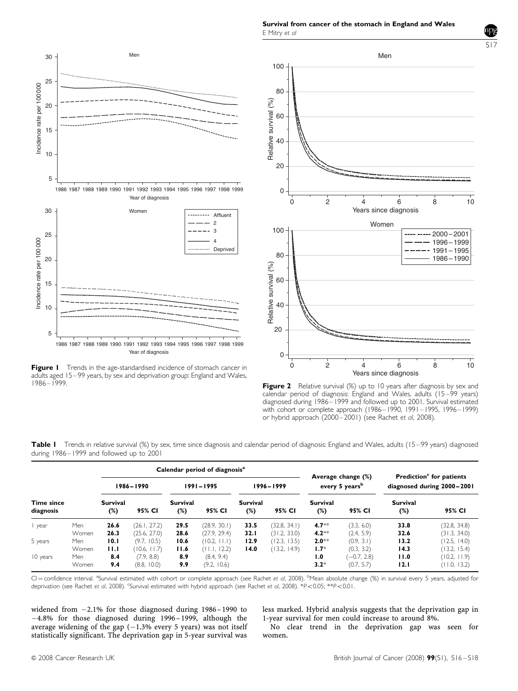Survival from cancer of the stomach in England and Wales E Mitry et al

<span id="page-1-0"></span>

Figure I Trends in the age-standardised incidence of stomach cancer in adults aged 15–99 years, by sex and deprivation group: England and Wales, 1986–1999.



Figure 2 Relative survival (%) up to 10 years after diagnosis by sex and calendar period of diagnosis: England and Wales, adults (15-99 years) diagnosed during 1986–1999 and followed up to 2001. Survival estimated with cohort or complete approach (1986–1990, 1991–1995, 1996–1999) or hybrid approach (2000–2001) (see Rachet et al, 2008).

| during 1986–1999 and followed up to 2001  |                        |                                            |
|-------------------------------------------|------------------------|--------------------------------------------|
| Calendar period of diagnosis <sup>a</sup> | $A$ yaraga changa $(%$ | <b>Prodiction<sup>c</sup> for patients</b> |

Table I Trends in relative survival (%) by sex, time since diagnosis and calendar period of diagnosis: England and Wales, adults (15–99 years) diagnosed

|                                |       |                 |              |                        |              |                 |              | Average change (%)         |               | Prediction <sup>c</sup> for patients |              |
|--------------------------------|-------|-----------------|--------------|------------------------|--------------|-----------------|--------------|----------------------------|---------------|--------------------------------------|--------------|
| <b>Time since</b><br>diagnosis |       | 1986-1990       |              | $1991 - 1995$          |              | 1996–1999       |              | every 5 years <sup>b</sup> |               | diagnosed during 2000-2001           |              |
|                                |       | Survival<br>(%) | 95% CI       | <b>Survival</b><br>(%) | 95% CI       | Survival<br>(%) | 95% CI       | Survival<br>$(\%)$         | 95% CI        | Survival<br>$(\%)$                   | 95% CI       |
| year                           | Men   | 26.6            | (26.1, 27.2) | 29.5                   | (28.9, 30.1) | 33.5            | (32.8, 34.1) | $4.7**$                    | (3.3, 6.0)    | 33.8                                 | (32.8, 34.8) |
|                                | Women | 26.3            | (25.6, 27.0) | 28.6                   | (27.9, 29.4) | 32. I           | (31.2, 33.0) | $4.2**$                    | (2.4, 5.9)    | 32.6                                 | (31.3, 34.0) |
| 5 years                        | Men   | 10.1            | (9.7, 10.5)  | 10.6                   | (10.2, 11.1) | 12.9            | (12.3, 13.5) | $2.0**$                    | (0.9, 3.1)    | 13.2                                 | (12.5, 14.0) |
|                                | Women | 11.1            | (10.6, 11.7) | 11.6                   | (11.1, 12.2) | 14.0            | (13.2, 14.9) | $1.7*$                     | (0.3, 3.2)    | 14.3                                 | (13.2, 15.4) |
| 10 years                       | Men   | 8.4             | (7.9, 8.8)   | 8.9                    | (8.4, 9.4)   |                 |              | 1.0                        | $(-0.7, 2.8)$ | 11.0                                 | (10.2, 11.9) |
|                                | Women | 9.4             | (8.8, 10.0)  | 9.9                    | (9.2, 10.6)  |                 |              | $3.2*$                     | (0.7, 5.7)    | 12.1                                 | (11.0, 13.2) |

CI = confidence interval. <sup>a</sup>Survival estimated with cohort or complete approach (see Rachet et al, 2008). <sup>b</sup>Mean absolute change (%) in survival every 5 years, adjusted for deprivation (see Rachet et al, 2008). 'Survival estimated with hybrid approach (see Rachet et al, 2008). \*P<0.05; \*\*P<0.01.

widened from -2.1% for those diagnosed during 1986– 1990 to -4.8% for those diagnosed during 1996– 1999, although the average widening of the gap  $(-1.3%$  every 5 years) was not itself statistically significant. The deprivation gap in 5-year survival was less marked. Hybrid analysis suggests that the deprivation gap in 1-year survival for men could increase to around 8%.

No clear trend in the deprivation gap was seen for women.

S17